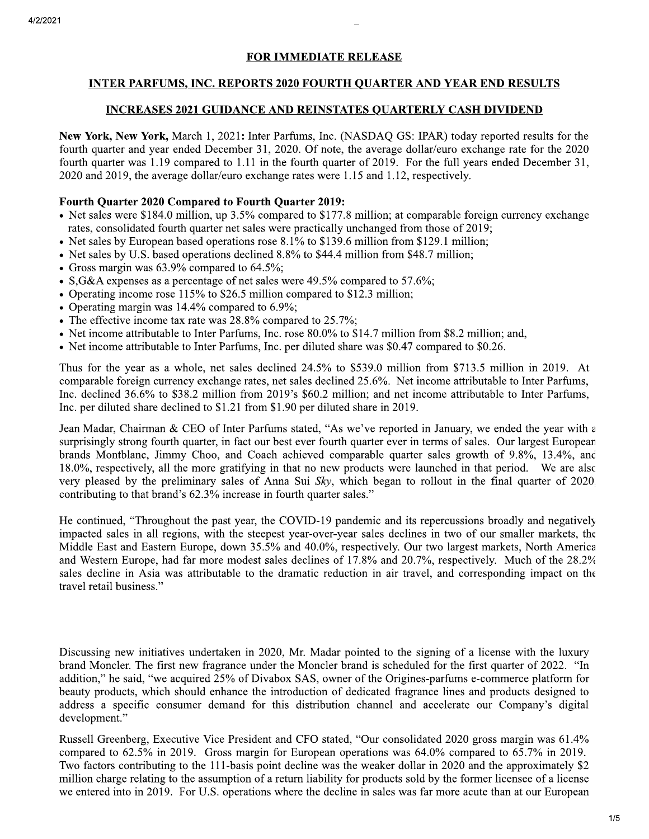# **FOR IMMEDIATE RELEASE**

# **INTER PARFUMS, INC. REPORTS 2020 FOURTH QUARTER AND YEAR END RESULTS**

## **INCREASES 2021 GUIDANCE AND REINSTATES QUARTERLY CASH DIVIDEND**

New York, New York, March 1, 2021: Inter Parfums, Inc. (NASDAQ GS: IPAR) today reported results for the fourth quarter and year ended December 31, 2020. Of note, the average dollar/euro exchange rate for the 2020 fourth quarter was 1.19 compared to 1.11 in the fourth quarter of 2019. For the full years ended December 31, 2020 and 2019, the average dollar/euro exchange rates were 1.15 and 1.12, respectively.

## **Fourth Quarter 2020 Compared to Fourth Quarter 2019:**

- Net sales were \$184.0 million, up 3.5% compared to \$177.8 million; at comparable foreign currency exchange rates, consolidated fourth quarter net sales were practically unchanged from those of 2019;
- Net sales by European based operations rose 8.1% to \$139.6 million from \$129.1 million;
- Net sales by U.S. based operations declined 8.8% to \$44.4 million from \$48.7 million;
- Gross margin was  $63.9\%$  compared to  $64.5\%$ ;
- S, G&A expenses as a percentage of net sales were  $49.5\%$  compared to  $57.6\%$ ;
- Operating income rose 115% to \$26.5 million compared to \$12.3 million;
- Operating margin was  $14.4\%$  compared to 6.9%;
- The effective income tax rate was 28.8% compared to 25.7%;
- Net income attributable to Inter Parfums, Inc. rose 80.0% to \$14.7 million from \$8.2 million; and,
- Net income attributable to Inter Parfums, Inc. per diluted share was \$0.47 compared to \$0.26.

Thus for the year as a whole, net sales declined 24.5% to \$539.0 million from \$713.5 million in 2019. At comparable foreign currency exchange rates, net sales declined 25.6%. Net income attributable to Inter Parfums, Inc. declined 36.6% to \$38.2 million from 2019's \$60.2 million; and net income attributable to Inter Parfums, Inc. per diluted share declined to \$1.21 from \$1.90 per diluted share in 2019.

Jean Madar, Chairman & CEO of Inter Parfums stated, "As we've reported in January, we ended the year with a surprisingly strong fourth quarter, in fact our best ever fourth quarter ever in terms of sales. Our largest European brands Montblanc, Jimmy Choo, and Coach achieved comparable quarter sales growth of 9.8%, 13.4%, and 18.0%, respectively, all the more gratifying in that no new products were launched in that period. We are also very pleased by the preliminary sales of Anna Sui  $Skv$ , which began to rollout in the final quarter of 2020. contributing to that brand's 62.3% increase in fourth quarter sales."

He continued, "Throughout the past year, the COVID-19 pandemic and its repercussions broadly and negatively impacted sales in all regions, with the steepest year-over-year sales declines in two of our smaller markets, the Middle East and Eastern Europe, down 35.5% and 40.0%, respectively. Our two largest markets, North America and Western Europe, had far more modest sales declines of 17.8% and 20.7%, respectively. Much of the 28.2% sales decline in Asia was attributable to the dramatic reduction in air travel, and corresponding impact on the travel retail business."

Discussing new initiatives undertaken in 2020, Mr. Madar pointed to the signing of a license with the luxury brand Moncler. The first new fragrance under the Moncler brand is scheduled for the first quarter of 2022. "In addition," he said, "we acquired 25% of Divabox SAS, owner of the Origines-parfums e-commerce platform for beauty products, which should enhance the introduction of dedicated fragrance lines and products designed to address a specific consumer demand for this distribution channel and accelerate our Company's digital development."

Russell Greenberg, Executive Vice President and CFO stated, "Our consolidated 2020 gross margin was 61.4% compared to 62.5% in 2019. Gross margin for European operations was 64.0% compared to 65.7% in 2019. Two factors contributing to the 111-basis point decline was the weaker dollar in 2020 and the approximately \$2 million charge relating to the assumption of a return liability for products sold by the former licensee of a license we entered into in 2019. For U.S. operations where the decline in sales was far more acute than at our European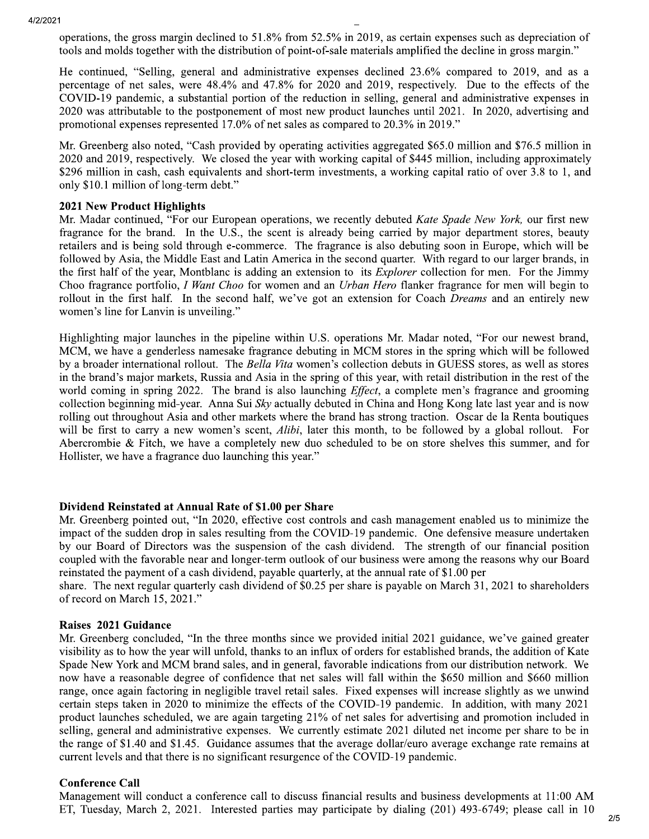operations, the gross margin declined to 51.8% from 52.5% in 2019, as certain expenses such as depreciation of tools and molds together with the distribution of point-of-sale materials amplified the decline in gross margin."

He continued, "Selling, general and administrative expenses declined 23.6% compared to 2019, and as a percentage of net sales, were 48.4% and 47.8% for 2020 and 2019, respectively. Due to the effects of the COVID-19 pandemic, a substantial portion of the reduction in selling, general and administrative expenses in 2020 was attributable to the postponement of most new product launches until 2021. In 2020, advertising and promotional expenses represented 17.0% of net sales as compared to 20.3% in 2019."

Mr. Greenberg also noted, "Cash provided by operating activities aggregated \$65.0 million and \$76.5 million in 2020 and 2019, respectively. We closed the year with working capital of \$445 million, including approximately \$296 million in cash, cash equivalents and short-term investments, a working capital ratio of over 3.8 to 1, and only \$10.1 million of long-term debt."

### **2021 New Product Highlights**

Mr. Madar continued, "For our European operations, we recently debuted Kate Spade New York, our first new fragrance for the brand. In the U.S., the scent is already being carried by major department stores, beauty retailers and is being sold through e-commerce. The fragrance is also debuting soon in Europe, which will be followed by Asia, the Middle East and Latin America in the second quarter. With regard to our larger brands, in the first half of the year, Montblanc is adding an extension to its *Explorer* collection for men. For the Jimmy Choo fragrance portfolio, I Want Choo for women and an Urban Hero flanker fragrance for men will begin to rollout in the first half. In the second half, we've got an extension for Coach *Dreams* and an entirely new women's line for Lanvin is unveiling."

Highlighting major launches in the pipeline within U.S. operations Mr. Madar noted, "For our newest brand, MCM, we have a genderless namesake fragrance debuting in MCM stores in the spring which will be followed by a broader international rollout. The Bella Vita women's collection debuts in GUESS stores, as well as stores in the brand's major markets, Russia and Asia in the spring of this year, with retail distribution in the rest of the world coming in spring 2022. The brand is also launching *Effect*, a complete men's fragrance and grooming collection beginning mid-year. Anna Sui Sky actually debuted in China and Hong Kong late last year and is now rolling out throughout Asia and other markets where the brand has strong traction. Oscar de la Renta boutiques will be first to carry a new women's scent, *Alibi*, later this month, to be followed by a global rollout. For Abercrombie & Fitch, we have a completely new duo scheduled to be on store shelves this summer, and for Hollister, we have a fragrance duo launching this year."

## Dividend Reinstated at Annual Rate of \$1.00 per Share

Mr. Greenberg pointed out, "In 2020, effective cost controls and cash management enabled us to minimize the impact of the sudden drop in sales resulting from the COVID-19 pandemic. One defensive measure undertaken by our Board of Directors was the suspension of the cash dividend. The strength of our financial position coupled with the favorable near and longer-term outlook of our business were among the reasons why our Board reinstated the payment of a cash dividend, payable quarterly, at the annual rate of \$1.00 per

share. The next regular quarterly cash dividend of \$0.25 per share is payable on March 31, 2021 to shareholders of record on March 15, 2021."

#### Raises 2021 Guidance

Mr. Greenberg concluded, "In the three months since we provided initial 2021 guidance, we've gained greater visibility as to how the year will unfold, thanks to an influx of orders for established brands, the addition of Kate Spade New York and MCM brand sales, and in general, favorable indications from our distribution network. We now have a reasonable degree of confidence that net sales will fall within the \$650 million and \$660 million range, once again factoring in negligible travel retail sales. Fixed expenses will increase slightly as we unwind certain steps taken in 2020 to minimize the effects of the COVID-19 pandemic. In addition, with many 2021 product launches scheduled, we are again targeting 21% of net sales for advertising and promotion included in selling, general and administrative expenses. We currently estimate 2021 diluted net income per share to be in the range of \$1.40 and \$1.45. Guidance assumes that the average dollar/euro average exchange rate remains at current levels and that there is no significant resurgence of the COVID-19 pandemic.

#### **Conference Call**

Management will conduct a conference call to discuss financial results and business developments at 11:00 AM ET, Tuesday, March 2, 2021. Interested parties may participate by dialing (201) 493-6749; please call in 10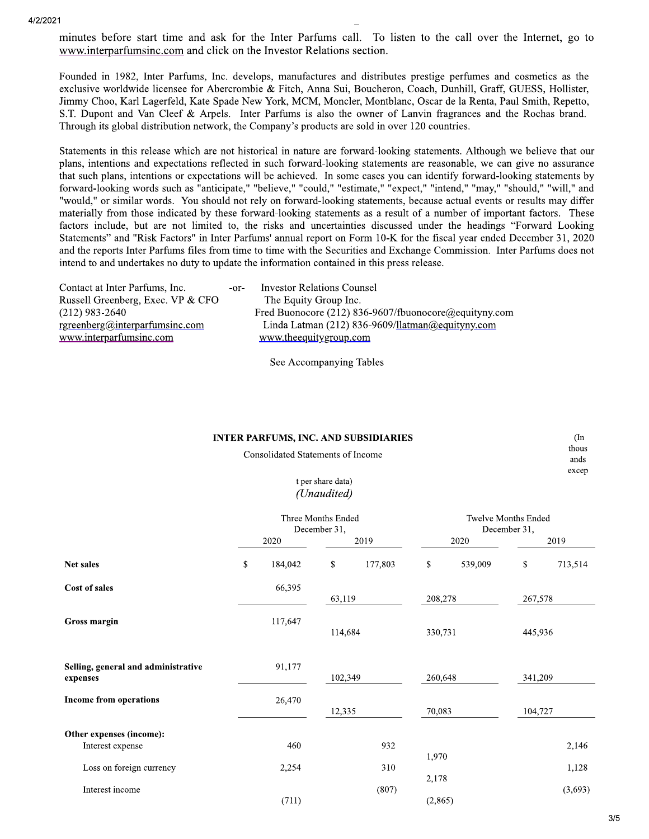minutes before start time and ask for the Inter Parfums call. To listen to the call over the Internet, go to www.interparfumsing.com and click on the Investor Relations section.

Founded in 1982, Inter Parfums, Inc. develops, manufactures and distributes prestige perfumes and cosmetics as the exclusive worldwide licensee for Abercrombie & Fitch, Anna Sui, Boucheron, Coach, Dunhill, Graff, GUESS, Hollister, Jimmy Choo, Karl Lagerfeld, Kate Spade New York, MCM, Moncler, Montblanc, Oscar de la Renta, Paul Smith, Repetto, S.T. Dupont and Van Cleef & Arpels. Inter Parfums is also the owner of Lanvin fragrances and the Rochas brand. Through its global distribution network, the Company's products are sold in over 120 countries.

Statements in this release which are not historical in nature are forward-looking statements. Although we believe that our plans, intentions and expectations reflected in such forward-looking statements are reasonable, we can give no assurance that such plans, intentions or expectations will be achieved. In some cases you can identify forward-looking statements by forward-looking words such as "anticipate," "believe," "could," "estimate," "expect," "intend," "may," "should," "will," and "would," or similar words. You should not rely on forward-looking statements, because actual events or results may differ materially from those indicated by these forward-looking statements as a result of a number of important factors. These factors include, but are not limited to, the risks and uncertainties discussed under the headings "Forward Looking Statements" and "Risk Factors" in Inter Parfums' annual report on Form 10-K for the fiscal year ended December 31, 2020 and the reports Inter Parfums files from time to time with the Securities and Exchange Commission. Inter Parfums does not intend to and undertakes no duty to update the information contained in this press release.

| Contact at Inter Parfums, Inc.        | $-0r-$ | <b>Investor Relations Counsel</b>                     |
|---------------------------------------|--------|-------------------------------------------------------|
| Russell Greenberg, Exec. VP & CFO     |        | The Equity Group Inc.                                 |
| (212) 983-2640                        |        | Fred Buonocore (212) 836-9607/fbuonocore@equityny.com |
| <u>rgreenberg@interparfumsinc.com</u> |        | Linda Latman (212) 836-9609/llatman@equityny.com      |
| www.interparfumsinc.com               |        | www.theequitygroup.com                                |
|                                       |        |                                                       |

See Accompanying Tables

|--|

Consolidated Statements of Income

thous ands excep

 $(In$ 

### t per share data) (Unaudited)

|                                                 | Three Months Ended<br>December 31, |         |         |         | <b>Twelve Months Ended</b><br>December 31, |         |         |         |  |
|-------------------------------------------------|------------------------------------|---------|---------|---------|--------------------------------------------|---------|---------|---------|--|
|                                                 | 2020                               |         | 2019    |         | 2020                                       |         | 2019    |         |  |
| Net sales                                       |                                    | 184,042 | \$      | 177,803 | $\mathbb{S}$                               | 539,009 | \$      | 713,514 |  |
| Cost of sales                                   | 66,395                             |         | 63,119  |         | 208,278                                    |         | 267,578 |         |  |
| Gross margin                                    | 117,647                            |         | 114,684 |         | 330,731                                    |         | 445,936 |         |  |
| Selling, general and administrative<br>expenses |                                    | 91,177  | 102,349 |         | 260,648                                    |         | 341,209 |         |  |
| Income from operations                          |                                    | 26,470  |         | 12,335  |                                            | 70,083  |         | 104,727 |  |
| Other expenses (income):                        |                                    |         |         |         |                                            |         |         |         |  |
| Interest expense                                |                                    | 460     |         | 932     |                                            |         |         | 2,146   |  |
| Loss on foreign currency                        |                                    | 2,254   |         | 310     | 1,970<br>2,178                             |         |         | 1,128   |  |
| Interest income                                 |                                    | (711)   |         | (807)   |                                            | (2,865) |         | (3,693) |  |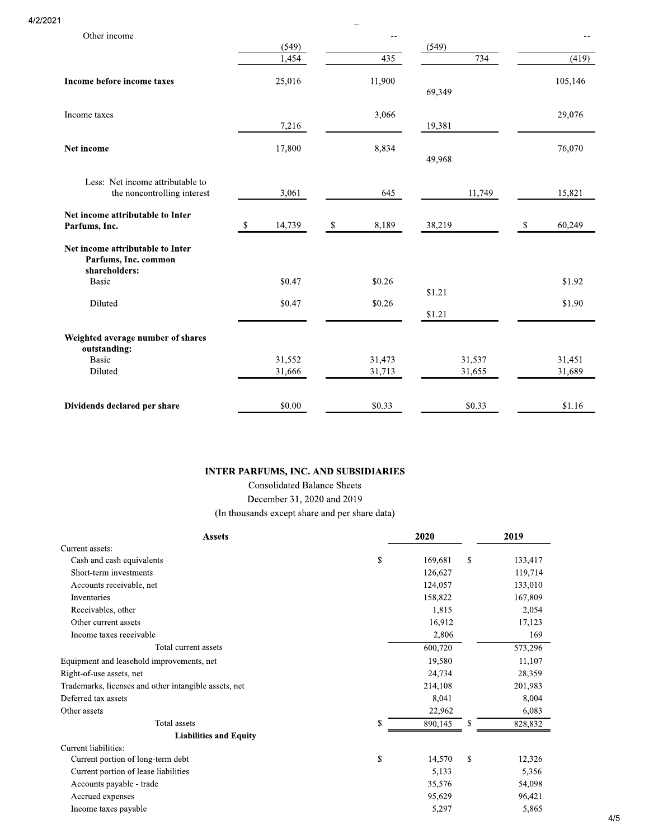4/2/2021

| Other income                                                              |              |              | $\overline{\phantom{m}}$ |                  |        |    | --      |
|---------------------------------------------------------------------------|--------------|--------------|--------------------------|------------------|--------|----|---------|
|                                                                           | (549)        |              |                          | (549)            |        |    |         |
|                                                                           | 1.454        |              | 435                      |                  | 734    |    | (419)   |
| Income before income taxes                                                | 25,016       |              | 11,900                   | 69,349           |        |    | 105,146 |
| Income taxes                                                              | 7,216        |              | 3,066                    | 19,381           |        |    | 29,076  |
| Net income                                                                | 17,800       |              | 8,834                    | 49,968           |        |    | 76,070  |
| Less: Net income attributable to<br>the noncontrolling interest           | 3,061        |              | 645                      |                  | 11,749 |    | 15,821  |
| Net income attributable to Inter<br>Parfums, Inc.                         | 14,739<br>\$ | $\mathbb{S}$ | 8,189                    | 38,219           |        | S. | 60,249  |
| Net income attributable to Inter<br>Parfums, Inc. common<br>shareholders: |              |              |                          |                  |        |    |         |
| <b>Basic</b>                                                              | \$0.47       |              | \$0.26                   |                  |        |    | \$1.92  |
| Diluted                                                                   | \$0.47       |              | \$0.26                   | \$1.21<br>\$1.21 |        |    | \$1.90  |
| Weighted average number of shares<br>outstanding:                         |              |              |                          |                  |        |    |         |
| <b>Basic</b>                                                              | 31,552       |              | 31,473                   |                  | 31,537 |    | 31,451  |
| Diluted                                                                   | 31,666       |              | 31,713                   |                  | 31,655 |    | 31,689  |
| Dividends declared per share                                              | \$0.00       |              | \$0.33                   |                  | \$0.33 |    | \$1.16  |

 $\overline{a}$ 

### **INTER PARFUMS, INC. AND SUBSIDIARIES**

**Consolidated Balance Sheets** December 31, 2020 and 2019 (In thousands except share and per share data)

| <b>Assets</b>                                         |              | 2020    | 2019          |  |
|-------------------------------------------------------|--------------|---------|---------------|--|
| Current assets:                                       |              |         |               |  |
| Cash and cash equivalents                             | $\mathbb{S}$ | 169,681 | \$<br>133,417 |  |
| Short-term investments                                |              | 126,627 | 119,714       |  |
| Accounts receivable, net                              |              | 124,057 | 133,010       |  |
| Inventories                                           |              | 158,822 | 167,809       |  |
| Receivables, other                                    |              | 1,815   | 2,054         |  |
| Other current assets                                  |              | 16,912  | 17,123        |  |
| Income taxes receivable                               |              | 2,806   | 169           |  |
| Total current assets                                  |              | 600,720 | 573,296       |  |
| Equipment and leasehold improvements, net             |              | 19,580  | 11,107        |  |
| Right-of-use assets, net                              |              | 24,734  | 28,359        |  |
| Trademarks, licenses and other intangible assets, net |              | 214,108 | 201,983       |  |
| Deferred tax assets                                   |              | 8,041   | 8,004         |  |
| Other assets                                          |              | 22,962  | 6,083         |  |
| <b>Total</b> assets                                   | \$           | 890,145 | \$<br>828,832 |  |
| <b>Liabilities and Equity</b>                         |              |         |               |  |
| Current liabilities:                                  |              |         |               |  |
| Current portion of long-term debt                     | \$           | 14,570  | \$<br>12,326  |  |
| Current portion of lease liabilities                  |              | 5,133   | 5,356         |  |
| Accounts payable - trade                              |              | 35,576  | 54,098        |  |
| Accrued expenses                                      |              | 95,629  | 96,421        |  |
| Income taxes payable                                  |              | 5,297   | 5,865         |  |

 $4/5$